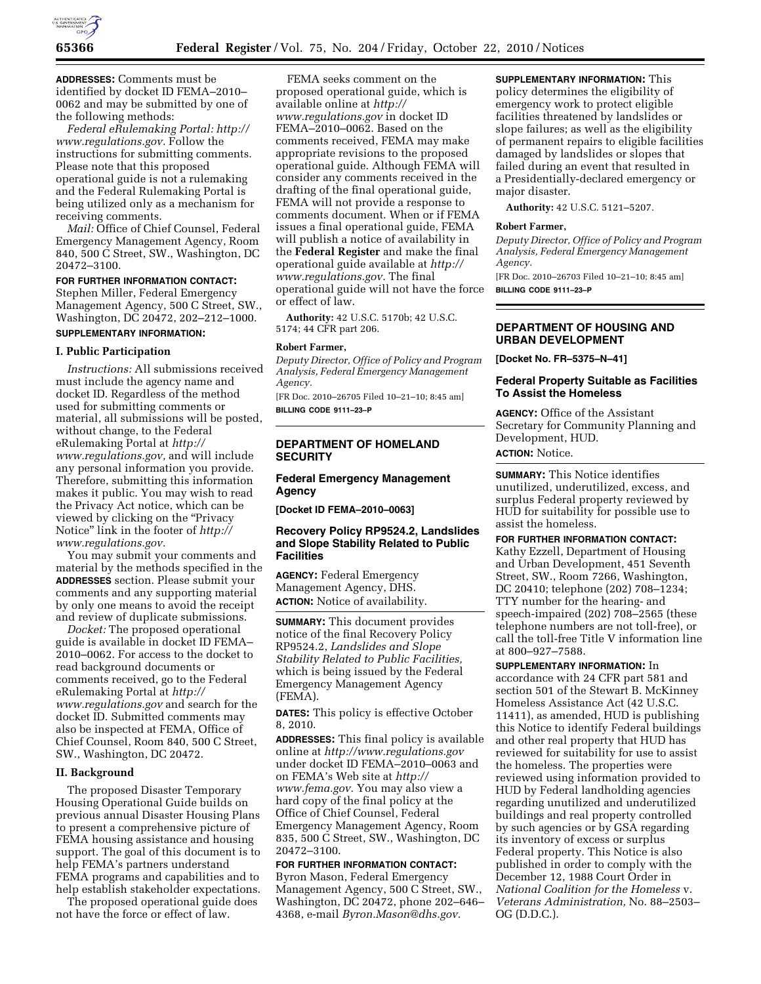

**ADDRESSES:** Comments must be identified by docket ID FEMA–2010– 0062 and may be submitted by one of the following methods:

*Federal eRulemaking Portal: [http://](http://www.regulations.gov)  [www.regulations.gov.](http://www.regulations.gov)* Follow the instructions for submitting comments. Please note that this proposed operational guide is not a rulemaking and the Federal Rulemaking Portal is being utilized only as a mechanism for receiving comments.

*Mail:* Office of Chief Counsel, Federal Emergency Management Agency, Room 840, 500 C Street, SW., Washington, DC 20472–3100.

# **FOR FURTHER INFORMATION CONTACT:**

Stephen Miller, Federal Emergency Management Agency, 500 C Street, SW., Washington, DC 20472, 202–212–1000. **SUPPLEMENTARY INFORMATION:** 

#### **I. Public Participation**

*Instructions:* All submissions received must include the agency name and docket ID. Regardless of the method used for submitting comments or material, all submissions will be posted, without change, to the Federal eRulemaking Portal at *[http://](http://www.regulations.gov)  [www.regulations.gov,](http://www.regulations.gov)* and will include any personal information you provide. Therefore, submitting this information makes it public. You may wish to read the Privacy Act notice, which can be viewed by clicking on the ''Privacy Notice'' link in the footer of *[http://](http://www.regulations.gov)  [www.regulations.gov.](http://www.regulations.gov)* 

You may submit your comments and material by the methods specified in the **ADDRESSES** section. Please submit your comments and any supporting material by only one means to avoid the receipt and review of duplicate submissions.

*Docket:* The proposed operational guide is available in docket ID FEMA– 2010–0062. For access to the docket to read background documents or comments received, go to the Federal eRulemaking Portal at *[http://](http://www.regulations.gov)  [www.regulations.gov](http://www.regulations.gov)* and search for the docket ID. Submitted comments may also be inspected at FEMA, Office of Chief Counsel, Room 840, 500 C Street, SW., Washington, DC 20472.

#### **II. Background**

The proposed Disaster Temporary Housing Operational Guide builds on previous annual Disaster Housing Plans to present a comprehensive picture of FEMA housing assistance and housing support. The goal of this document is to help FEMA's partners understand FEMA programs and capabilities and to help establish stakeholder expectations.

The proposed operational guide does not have the force or effect of law.

FEMA seeks comment on the proposed operational guide, which is available online at *[http://](http://www.regulations.gov)  [www.regulations.gov](http://www.regulations.gov)* in docket ID FEMA–2010–0062. Based on the comments received, FEMA may make appropriate revisions to the proposed operational guide. Although FEMA will consider any comments received in the drafting of the final operational guide, FEMA will not provide a response to comments document. When or if FEMA issues a final operational guide, FEMA will publish a notice of availability in the **Federal Register** and make the final operational guide available at *[http://](http://www.regulations.gov)  [www.regulations.gov.](http://www.regulations.gov)* The final operational guide will not have the force or effect of law.

**Authority:** 42 U.S.C. 5170b; 42 U.S.C. 5174; 44 CFR part 206.

#### **Robert Farmer,**

*Deputy Director, Office of Policy and Program Analysis, Federal Emergency Management Agency.* 

[FR Doc. 2010–26705 Filed 10–21–10; 8:45 am] **BILLING CODE 9111–23–P** 

# **DEPARTMENT OF HOMELAND SECURITY**

### **Federal Emergency Management Agency**

**[Docket ID FEMA–2010–0063]** 

# **Recovery Policy RP9524.2, Landslides and Slope Stability Related to Public Facilities**

**AGENCY:** Federal Emergency Management Agency, DHS. **ACTION:** Notice of availability.

**SUMMARY:** This document provides notice of the final Recovery Policy RP9524.2, *Landslides and Slope Stability Related to Public Facilities,*  which is being issued by the Federal Emergency Management Agency (FEMA).

**DATES:** This policy is effective October 8, 2010.

**ADDRESSES:** This final policy is available online at *<http://www.regulations.gov>*  under docket ID FEMA–2010–0063 and on FEMA's Web site at *[http://](http://www.fema.gov)  [www.fema.gov.](http://www.fema.gov)* You may also view a hard copy of the final policy at the Office of Chief Counsel, Federal Emergency Management Agency, Room 835, 500 C Street, SW., Washington, DC 20472–3100.

# **FOR FURTHER INFORMATION CONTACT:**

Byron Mason, Federal Emergency Management Agency, 500 C Street, SW., Washington, DC 20472, phone 202–646– 4368, e-mail *[Byron.Mason@dhs.gov.](mailto:Byron.Mason@dhs.gov)* 

**SUPPLEMENTARY INFORMATION:** This policy determines the eligibility of emergency work to protect eligible facilities threatened by landslides or slope failures; as well as the eligibility of permanent repairs to eligible facilities damaged by landslides or slopes that failed during an event that resulted in a Presidentially-declared emergency or major disaster.

**Authority:** 42 U.S.C. 5121–5207.

#### **Robert Farmer,**

*Deputy Director, Office of Policy and Program Analysis, Federal Emergency Management Agency.* 

[FR Doc. 2010–26703 Filed 10–21–10; 8:45 am] **BILLING CODE 9111–23–P** 

# **DEPARTMENT OF HOUSING AND URBAN DEVELOPMENT**

**[Docket No. FR–5375–N–41]** 

### **Federal Property Suitable as Facilities To Assist the Homeless**

**AGENCY:** Office of the Assistant Secretary for Community Planning and Development, HUD.

**ACTION:** Notice.

**SUMMARY:** This Notice identifies unutilized, underutilized, excess, and surplus Federal property reviewed by HUD for suitability for possible use to assist the homeless.

# **FOR FURTHER INFORMATION CONTACT:**  Kathy Ezzell, Department of Housing

and Urban Development, 451 Seventh Street, SW., Room 7266, Washington, DC 20410; telephone (202) 708–1234; TTY number for the hearing- and speech-impaired (202) 708–2565 (these telephone numbers are not toll-free), or call the toll-free Title V information line at 800–927–7588.

**SUPPLEMENTARY INFORMATION:** In

accordance with 24 CFR part 581 and section 501 of the Stewart B. McKinney Homeless Assistance Act (42 U.S.C. 11411), as amended, HUD is publishing this Notice to identify Federal buildings and other real property that HUD has reviewed for suitability for use to assist the homeless. The properties were reviewed using information provided to HUD by Federal landholding agencies regarding unutilized and underutilized buildings and real property controlled by such agencies or by GSA regarding its inventory of excess or surplus Federal property. This Notice is also published in order to comply with the December 12, 1988 Court Order in *National Coalition for the Homeless* v. *Veterans Administration,* No. 88–2503– OG (D.D.C.).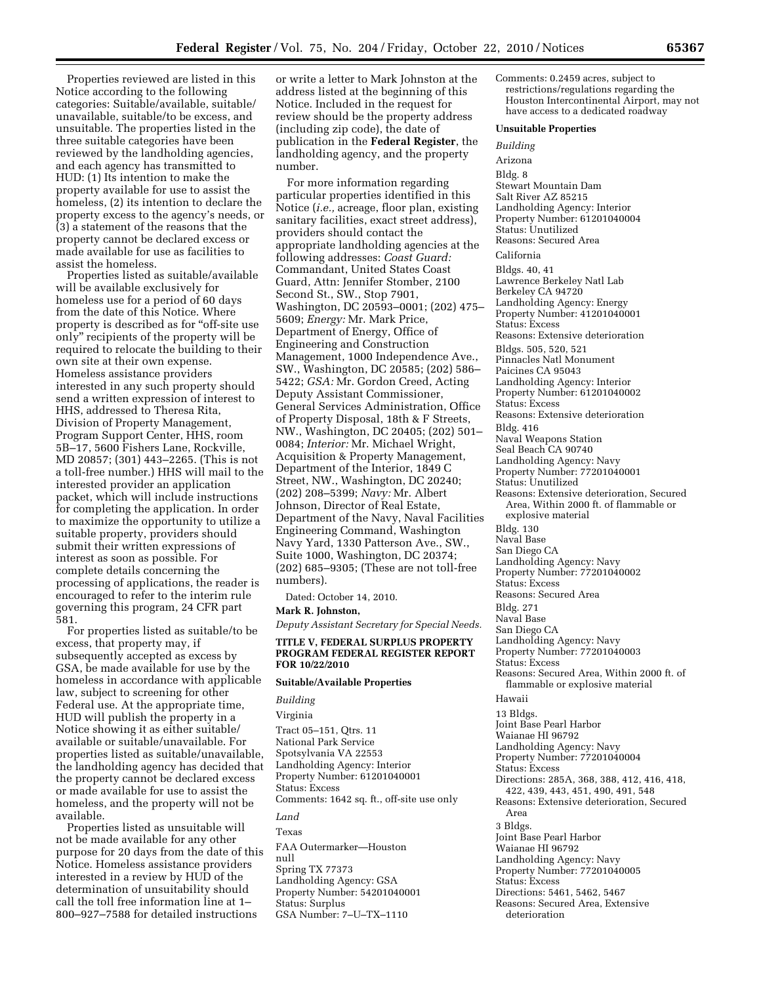Properties reviewed are listed in this Notice according to the following categories: Suitable/available, suitable/ unavailable, suitable/to be excess, and unsuitable. The properties listed in the three suitable categories have been reviewed by the landholding agencies, and each agency has transmitted to HUD: (1) Its intention to make the property available for use to assist the homeless, (2) its intention to declare the property excess to the agency's needs, or (3) a statement of the reasons that the property cannot be declared excess or made available for use as facilities to assist the homeless.

Properties listed as suitable/available will be available exclusively for homeless use for a period of 60 days from the date of this Notice. Where property is described as for ''off-site use only'' recipients of the property will be required to relocate the building to their own site at their own expense. Homeless assistance providers interested in any such property should send a written expression of interest to HHS, addressed to Theresa Rita, Division of Property Management, Program Support Center, HHS, room 5B–17, 5600 Fishers Lane, Rockville, MD 20857; (301) 443–2265. (This is not a toll-free number.) HHS will mail to the interested provider an application packet, which will include instructions for completing the application. In order to maximize the opportunity to utilize a suitable property, providers should submit their written expressions of interest as soon as possible. For complete details concerning the processing of applications, the reader is encouraged to refer to the interim rule governing this program, 24 CFR part 581.

For properties listed as suitable/to be excess, that property may, if subsequently accepted as excess by GSA, be made available for use by the homeless in accordance with applicable law, subject to screening for other Federal use. At the appropriate time, HUD will publish the property in a Notice showing it as either suitable/ available or suitable/unavailable. For properties listed as suitable/unavailable, the landholding agency has decided that the property cannot be declared excess or made available for use to assist the homeless, and the property will not be available.

Properties listed as unsuitable will not be made available for any other purpose for 20 days from the date of this Notice. Homeless assistance providers interested in a review by HUD of the determination of unsuitability should call the toll free information line at 1– 800–927–7588 for detailed instructions

or write a letter to Mark Johnston at the address listed at the beginning of this Notice. Included in the request for review should be the property address (including zip code), the date of publication in the **Federal Register**, the landholding agency, and the property number.

For more information regarding particular properties identified in this Notice (*i.e.,* acreage, floor plan, existing sanitary facilities, exact street address), providers should contact the appropriate landholding agencies at the following addresses: *Coast Guard:*  Commandant, United States Coast Guard, Attn: Jennifer Stomber, 2100 Second St., SW., Stop 7901, Washington, DC 20593–0001; (202) 475– 5609; *Energy:* Mr. Mark Price, Department of Energy, Office of Engineering and Construction Management, 1000 Independence Ave., SW., Washington, DC 20585; (202) 586– 5422; *GSA:* Mr. Gordon Creed, Acting Deputy Assistant Commissioner, General Services Administration, Office of Property Disposal, 18th & F Streets, NW., Washington, DC 20405; (202) 501– 0084; *Interior:* Mr. Michael Wright, Acquisition & Property Management, Department of the Interior, 1849 C Street, NW., Washington, DC 20240; (202) 208–5399; *Navy:* Mr. Albert Johnson, Director of Real Estate, Department of the Navy, Naval Facilities Engineering Command, Washington Navy Yard, 1330 Patterson Ave., SW., Suite 1000, Washington, DC 20374; (202) 685–9305; (These are not toll-free numbers).

Dated: October 14, 2010.

**Mark R. Johnston,** 

*Deputy Assistant Secretary for Special Needs.* 

#### **TITLE V, FEDERAL SURPLUS PROPERTY PROGRAM FEDERAL REGISTER REPORT FOR 10/22/2010**

# **Suitable/Available Properties**

*Building* 

Virginia

Tract 05–151, Qtrs. 11 National Park Service Spotsylvania VA 22553 Landholding Agency: Interior Property Number: 61201040001 Status: Excess Comments: 1642 sq. ft., off-site use only *Land* 

Texas

FAA Outermarker—Houston null Spring TX 77373 Landholding Agency: GSA Property Number: 54201040001 Status: Surplus GSA Number: 7–U–TX–1110

Comments: 0.2459 acres, subject to restrictions/regulations regarding the Houston Intercontinental Airport, may not have access to a dedicated roadway

# **Unsuitable Properties**

*Building* 

Arizona Bldg. 8 Stewart Mountain Dam Salt River AZ 85215 Landholding Agency: Interior Property Number: 61201040004 Status: Unutilized Reasons: Secured Area California Bldgs. 40, 41 Lawrence Berkeley Natl Lab Berkeley CA 94720 Landholding Agency: Energy Property Number: 41201040001 Status: Excess Reasons: Extensive deterioration Bldgs. 505, 520, 521 Pinnacles Natl Monument Paicines CA 95043 Landholding Agency: Interior Property Number: 61201040002 Status: Excess Reasons: Extensive deterioration Bldg. 416 Naval Weapons Station Seal Beach CA 90740 Landholding Agency: Navy Property Number: 77201040001 Status: Unutilized Reasons: Extensive deterioration, Secured Area, Within 2000 ft. of flammable or explosive material Bldg. 130 Naval Base San Diego CA Landholding Agency: Navy Property Number: 77201040002 Status: Excess Reasons: Secured Area Bldg. 271 Naval Base San Diego CA Landholding Agency: Navy Property Number: 77201040003 Status: Excess Reasons: Secured Area, Within 2000 ft. of flammable or explosive material Hawaii 13 Bldgs. Joint Base Pearl Harbor Waianae HI 96792 Landholding Agency: Navy Property Number: 77201040004 Status: Excess Directions: 285A, 368, 388, 412, 416, 418, 422, 439, 443, 451, 490, 491, 548 Reasons: Extensive deterioration, Secured Area 3 Bldgs. Joint Base Pearl Harbor Waianae HI 96792 Landholding Agency: Navy Property Number: 77201040005 Status: Excess Directions: 5461, 5462, 5467 Reasons: Secured Area, Extensive deterioration